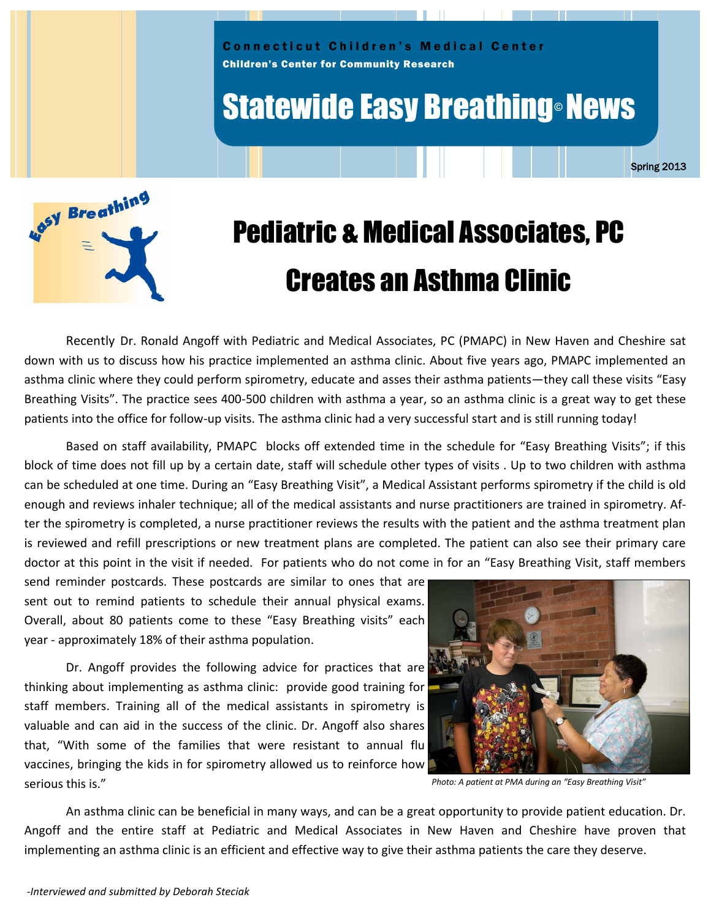

# **Statewide Easy Breathing® News**

Spring 2013



# Pediatric & Medical Associates, PC Creates an Asthma Clinic

Recently Dr. Ronald Angoff with Pediatric and Medical Associates, PC (PMAPC) in New Haven and Cheshire sat down with us to discuss how his practice implemented an asthma clinic. About five years ago, PMAPC implemented an asthma clinic where they could perform spirometry, educate and asses their asthma patients—they call these visits "Easy Breathing Visits". The practice sees 400-500 children with asthma a year, so an asthma clinic is a great way to get these patients into the office for follow-up visits. The asthma clinic had a very successful start and is still running today!

Based on staff availability, PMAPC blocks off extended time in the schedule for "Easy Breathing Visits"; if this block of time does not fill up by a certain date, staff will schedule other types of visits . Up to two children with asthma can be scheduled at one time. During an "Easy Breathing Visit", a Medical Assistant performs spirometry if the child is old enough and reviews inhaler technique; all of the medical assistants and nurse practitioners are trained in spirometry. After the spirometry is completed, a nurse practitioner reviews the results with the patient and the asthma treatment plan is reviewed and refill prescriptions or new treatment plans are completed. The patient can also see their primary care doctor at this point in the visit if needed. For patients who do not come in for an "Easy Breathing Visit, staff members

send reminder postcards. These postcards are similar to ones that are sent out to remind patients to schedule their annual physical exams. Overall, about 80 patients come to these "Easy Breathing visits" each year - approximately 18% of their asthma population.

Dr. Angoff provides the following advice for practices that are thinking about implementing as asthma clinic: provide good training for staff members. Training all of the medical assistants in spirometry is valuable and can aid in the success of the clinic. Dr. Angoff also shares that, "With some of the families that were resistant to annual flu vaccines, bringing the kids in for spirometry allowed us to reinforce how serious this is."



*Photo: A patient at PMA during an "Easy Breathing Visit"*

An asthma clinic can be beneficial in many ways, and can be a great opportunity to provide patient education. Dr. Angoff and the entire staff at Pediatric and Medical Associates in New Haven and Cheshire have proven that implementing an asthma clinic is an efficient and effective way to give their asthma patients the care they deserve.